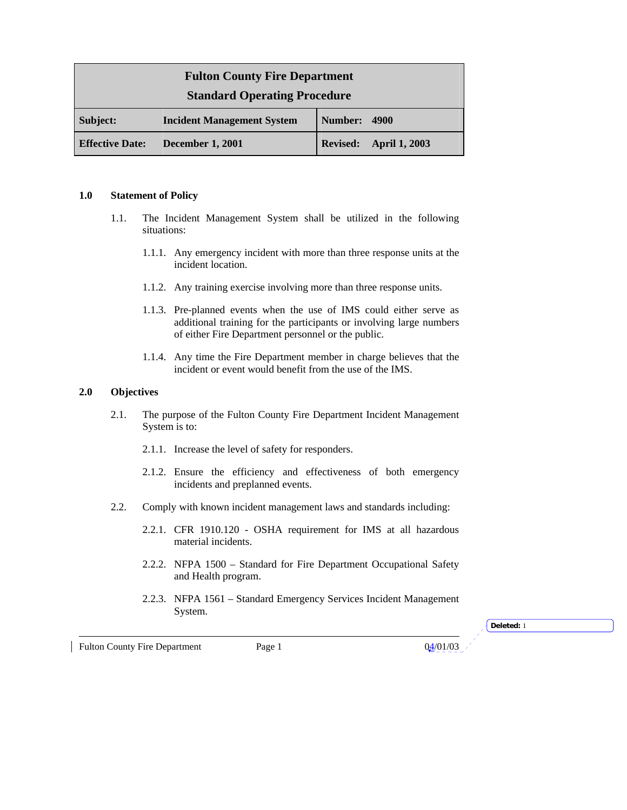| <b>Fulton County Fire Department</b> |                                   |                 |                      |
|--------------------------------------|-----------------------------------|-----------------|----------------------|
| <b>Standard Operating Procedure</b>  |                                   |                 |                      |
| Subject:                             | <b>Incident Management System</b> | Number:         | 4900                 |
| <b>Effective Date:</b>               | <b>December 1, 2001</b>           | <b>Revised:</b> | <b>April 1, 2003</b> |

#### **1.0 Statement of Policy**

- 1.1. The Incident Management System shall be utilized in the following situations:
	- 1.1.1. Any emergency incident with more than three response units at the incident location.
	- 1.1.2. Any training exercise involving more than three response units.
	- 1.1.3. Pre-planned events when the use of IMS could either serve as additional training for the participants or involving large numbers of either Fire Department personnel or the public.
	- 1.1.4. Any time the Fire Department member in charge believes that the incident or event would benefit from the use of the IMS.

### **2.0 Objectives**

- 2.1. The purpose of the Fulton County Fire Department Incident Management System is to:
	- 2.1.1. Increase the level of safety for responders.
	- 2.1.2. Ensure the efficiency and effectiveness of both emergency incidents and preplanned events.
- 2.2. Comply with known incident management laws and standards including:
	- 2.2.1. CFR 1910.120 OSHA requirement for IMS at all hazardous material incidents.
	- 2.2.2. NFPA 1500 Standard for Fire Department Occupational Safety and Health program.
	- 2.2.3. NFPA 1561 Standard Emergency Services Incident Management System.

Fulton County Fire Department Page 1 04/01/03

**Deleted:** 1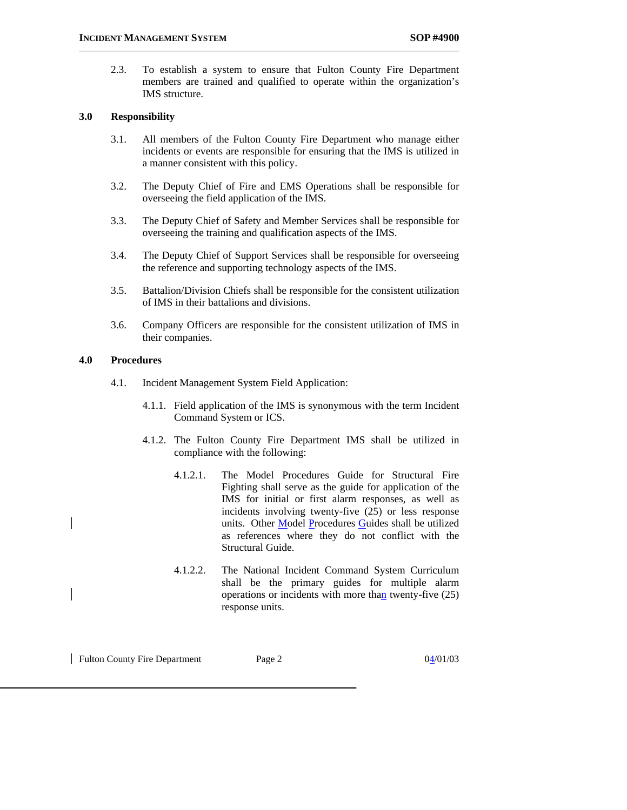2.3. To establish a system to ensure that Fulton County Fire Department members are trained and qualified to operate within the organization's IMS structure.

#### **3.0 Responsibility**

- 3.1. All members of the Fulton County Fire Department who manage either incidents or events are responsible for ensuring that the IMS is utilized in a manner consistent with this policy.
- 3.2. The Deputy Chief of Fire and EMS Operations shall be responsible for overseeing the field application of the IMS.
- 3.3. The Deputy Chief of Safety and Member Services shall be responsible for overseeing the training and qualification aspects of the IMS.
- 3.4. The Deputy Chief of Support Services shall be responsible for overseeing the reference and supporting technology aspects of the IMS.
- 3.5. Battalion/Division Chiefs shall be responsible for the consistent utilization of IMS in their battalions and divisions.
- 3.6. Company Officers are responsible for the consistent utilization of IMS in their companies.

## **4.0 Procedures**

- 4.1. Incident Management System Field Application:
	- 4.1.1. Field application of the IMS is synonymous with the term Incident Command System or ICS.
	- 4.1.2. The Fulton County Fire Department IMS shall be utilized in compliance with the following:
		- 4.1.2.1. The Model Procedures Guide for Structural Fire Fighting shall serve as the guide for application of the IMS for initial or first alarm responses, as well as incidents involving twenty-five (25) or less response units. Other Model Procedures Guides shall be utilized as references where they do not conflict with the Structural Guide.
		- 4.1.2.2. The National Incident Command System Curriculum shall be the primary guides for multiple alarm operations or incidents with more than twenty-five  $(25)$ response units.

Fulton County Fire Department Page 2 04/01/03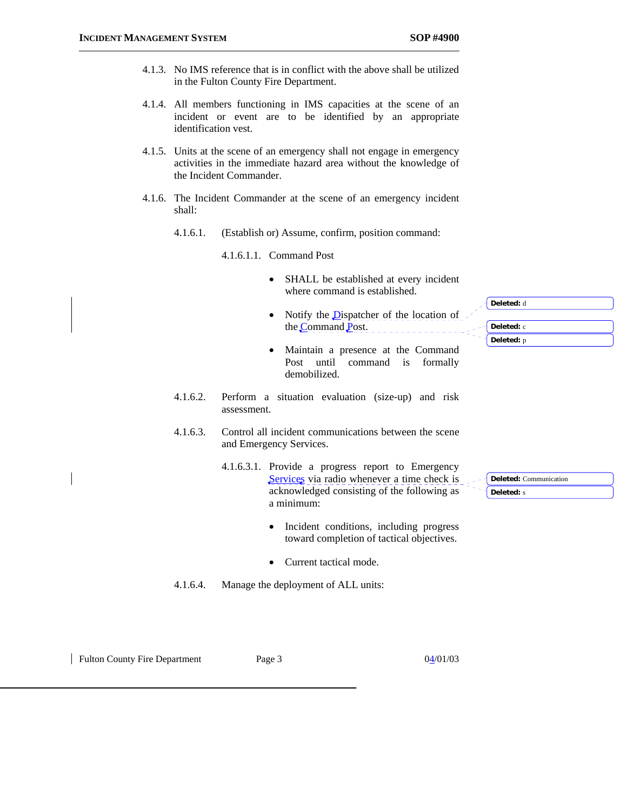- 4.1.3. No IMS reference that is in conflict with the above shall be utilized in the Fulton County Fire Department.
- 4.1.4. All members functioning in IMS capacities at the scene of an incident or event are to be identified by an appropriate identification vest.
- 4.1.5. Units at the scene of an emergency shall not engage in emergency activities in the immediate hazard area without the knowledge of the Incident Commander.
- 4.1.6. The Incident Commander at the scene of an emergency incident shall:
	- 4.1.6.1. (Establish or) Assume, confirm, position command:

4.1.6.1.1. Command Post

- SHALL be established at every incident where command is established.
- Notify the **D**ispatcher of the location of the Command Post.
- Maintain a presence at the Command Post until command is formally demobilized.
- 4.1.6.2. Perform a situation evaluation (size-up) and risk assessment.
- 4.1.6.3. Control all incident communications between the scene and Emergency Services.
	- 4.1.6.3.1. Provide a progress report to Emergency Services via radio whenever a time check is acknowledged consisting of the following as a minimum:
		- Incident conditions, including progress toward completion of tactical objectives.
		- Current tactical mode.
- 4.1.6.4. Manage the deployment of ALL units:

Fulton County Fire Department Page 3 04/01/03

| Deleted: c |  |
|------------|--|
| Deleted: p |  |

**Deleted:** Communication **Deleted:** s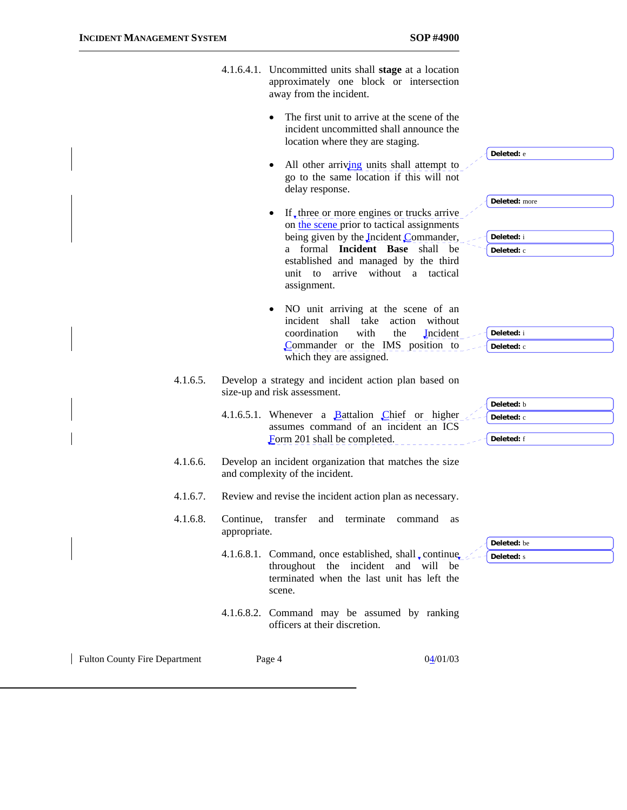|                                      | away from the incident.                                         | 4.1.6.4.1. Uncommitted units shall stage at a location<br>approximately one block or intersection                                                      |                                        |
|--------------------------------------|-----------------------------------------------------------------|--------------------------------------------------------------------------------------------------------------------------------------------------------|----------------------------------------|
|                                      | $\bullet$                                                       | The first unit to arrive at the scene of the<br>incident uncommitted shall announce the<br>location where they are staging.                            | Deleted: e                             |
|                                      | $\bullet$<br>delay response.                                    | All other arriving units shall attempt to<br>go to the same location if this will not                                                                  |                                        |
|                                      | $\bullet$                                                       | If, three or more engines or trucks arrive<br>on the scene prior to tactical assignments                                                               | Deleted: more                          |
|                                      | assignment.                                                     | being given by the Incident Commander,<br>a formal Incident Base shall be<br>established and managed by the third<br>unit to arrive without a tactical | Deleted: i<br>Deleted: c               |
|                                      | incident shall take<br>coordination<br>which they are assigned. | NO unit arriving at the scene of an<br>action without<br>with<br>the<br><b>Incident</b><br>Commander or the IMS position to                            | Deleted: i<br>Deleted: c               |
| 4.1.6.5.                             | size-up and risk assessment.                                    | Develop a strategy and incident action plan based on                                                                                                   |                                        |
|                                      | Form 201 shall be completed.                                    | 4.1.6.5.1. Whenever a Battalion Chief or higher<br>assumes command of an incident an ICS                                                               | Deleted: b<br>Deleted: c<br>Deleted: f |
| 4.1.6.6.                             | and complexity of the incident.                                 | Develop an incident organization that matches the size                                                                                                 |                                        |
| 4.1.6.7.                             |                                                                 | Review and revise the incident action plan as necessary.                                                                                               |                                        |
| 4.1.6.8.                             | Continue, transfer and terminate<br>appropriate.                | command<br>as                                                                                                                                          |                                        |
|                                      | scene.                                                          | 4.1.6.8.1. Command, once established, shall, continue,<br>throughout the incident and will be<br>terminated when the last unit has left the            | Deleted: be<br>Deleted: s              |
|                                      | officers at their discretion.                                   | 4.1.6.8.2. Command may be assumed by ranking                                                                                                           |                                        |
| <b>Fulton County Fire Department</b> | Page 4                                                          | 04/01/03                                                                                                                                               |                                        |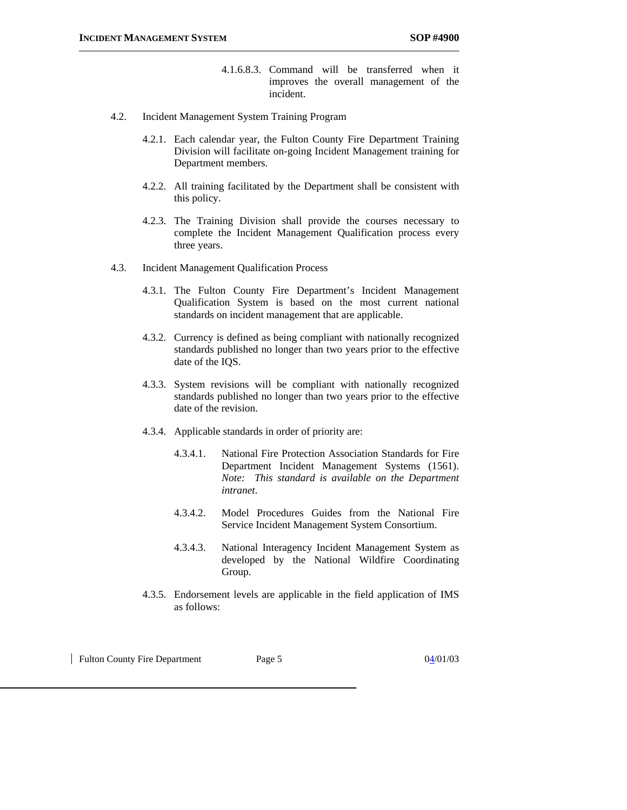- 4.1.6.8.3. Command will be transferred when it improves the overall management of the incident.
- 4.2. Incident Management System Training Program
	- 4.2.1. Each calendar year, the Fulton County Fire Department Training Division will facilitate on-going Incident Management training for Department members.
	- 4.2.2. All training facilitated by the Department shall be consistent with this policy.
	- 4.2.3. The Training Division shall provide the courses necessary to complete the Incident Management Qualification process every three years.
- 4.3. Incident Management Qualification Process
	- 4.3.1. The Fulton County Fire Department's Incident Management Qualification System is based on the most current national standards on incident management that are applicable.
	- 4.3.2. Currency is defined as being compliant with nationally recognized standards published no longer than two years prior to the effective date of the IQS.
	- 4.3.3. System revisions will be compliant with nationally recognized standards published no longer than two years prior to the effective date of the revision.
	- 4.3.4. Applicable standards in order of priority are:
		- 4.3.4.1. National Fire Protection Association Standards for Fire Department Incident Management Systems (1561). *Note: This standard is available on the Department intranet*.
		- 4.3.4.2. Model Procedures Guides from the National Fire Service Incident Management System Consortium.
		- 4.3.4.3. National Interagency Incident Management System as developed by the National Wildfire Coordinating Group.
	- 4.3.5. Endorsement levels are applicable in the field application of IMS as follows:

Fulton County Fire Department Page 5 04/01/03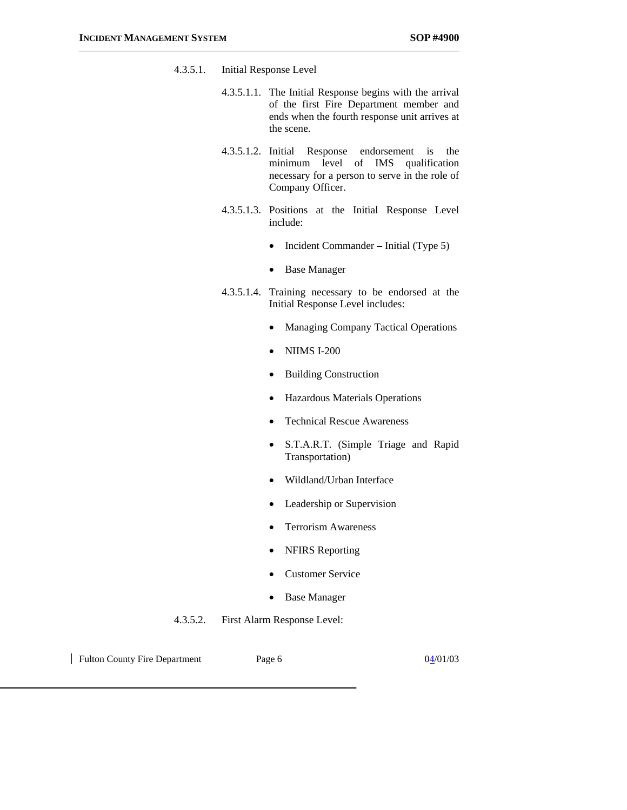- 4.3.5.1. Initial Response Level
	- 4.3.5.1.1. The Initial Response begins with the arrival of the first Fire Department member and ends when the fourth response unit arrives at the scene.
	- 4.3.5.1.2. Initial Response endorsement is the minimum level of IMS qualification necessary for a person to serve in the role of Company Officer.
	- 4.3.5.1.3. Positions at the Initial Response Level include:
		- Incident Commander Initial (Type 5)
		- Base Manager
	- 4.3.5.1.4. Training necessary to be endorsed at the Initial Response Level includes:
		- Managing Company Tactical Operations
		- NIIMS I-200
		- Building Construction
		- Hazardous Materials Operations
		- Technical Rescue Awareness
		- S.T.A.R.T. (Simple Triage and Rapid Transportation)
		- Wildland/Urban Interface
		- Leadership or Supervision
		- Terrorism Awareness
		- NFIRS Reporting
		- Customer Service
		- Base Manager
- 4.3.5.2. First Alarm Response Level:

Fulton County Fire Department Page 6 04/01/03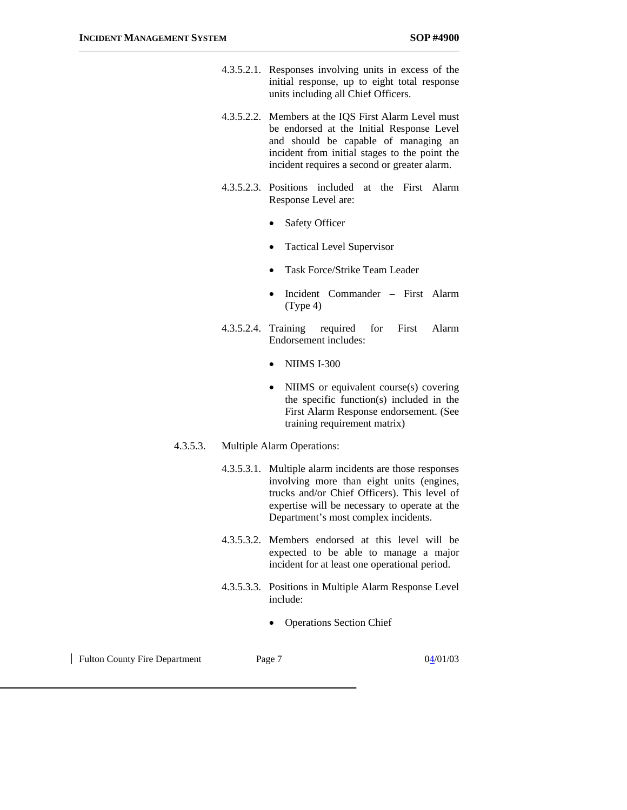- 4.3.5.2.1. Responses involving units in excess of the initial response, up to eight total response units including all Chief Officers.
- 4.3.5.2.2. Members at the IQS First Alarm Level must be endorsed at the Initial Response Level and should be capable of managing an incident from initial stages to the point the incident requires a second or greater alarm.
- 4.3.5.2.3. Positions included at the First Alarm Response Level are:
	- Safety Officer
	- Tactical Level Supervisor
	- Task Force/Strike Team Leader
	- Incident Commander First Alarm (Type 4)
- 4.3.5.2.4. Training required for First Alarm Endorsement includes:
	- NIIMS I-300
	- NIIMS or equivalent course(s) covering the specific function(s) included in the First Alarm Response endorsement. (See training requirement matrix)

### 4.3.5.3. Multiple Alarm Operations:

4.3.5.3.1. Multiple alarm incidents are those responses involving more than eight units (engines, trucks and/or Chief Officers). This level of expertise will be necessary to operate at the Department's most complex incidents.

- 4.3.5.3.2. Members endorsed at this level will be expected to be able to manage a major incident for at least one operational period.
- 4.3.5.3.3. Positions in Multiple Alarm Response Level include:
	- Operations Section Chief

Fulton County Fire Department Page 7 04/01/03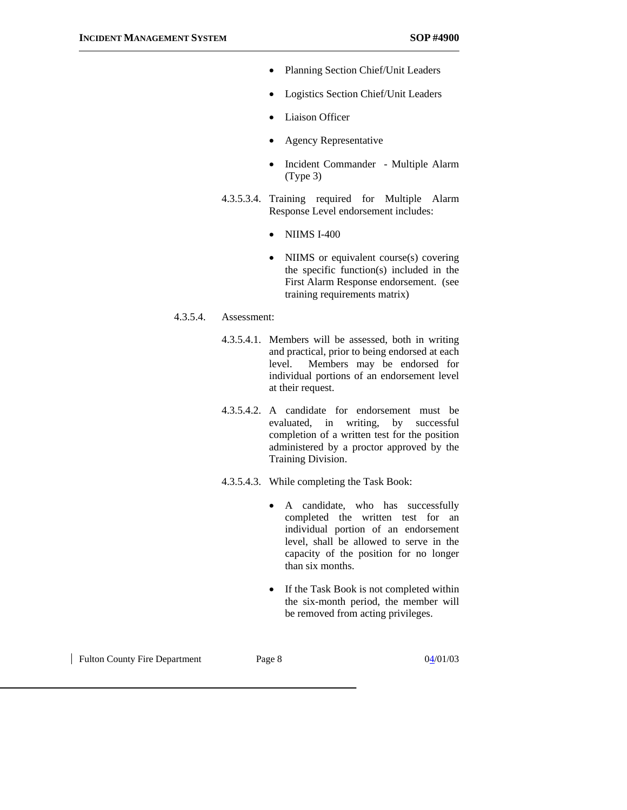- Planning Section Chief/Unit Leaders
- Logistics Section Chief/Unit Leaders
- **Liaison Officer**
- Agency Representative
- Incident Commander Multiple Alarm (Type 3)
- 4.3.5.3.4. Training required for Multiple Alarm Response Level endorsement includes:
	- NIIMS I-400
	- NIIMS or equivalent course(s) covering the specific function(s) included in the First Alarm Response endorsement. (see training requirements matrix)

### 4.3.5.4. Assessment:

- 4.3.5.4.1. Members will be assessed, both in writing and practical, prior to being endorsed at each level. Members may be endorsed for individual portions of an endorsement level at their request.
- 4.3.5.4.2. A candidate for endorsement must be evaluated, in writing, by successful completion of a written test for the position administered by a proctor approved by the Training Division.
- 4.3.5.4.3. While completing the Task Book:
	- A candidate, who has successfully completed the written test for an individual portion of an endorsement level, shall be allowed to serve in the capacity of the position for no longer than six months.
	- If the Task Book is not completed within the six-month period, the member will be removed from acting privileges.

Fulton County Fire Department Page 8 04/01/03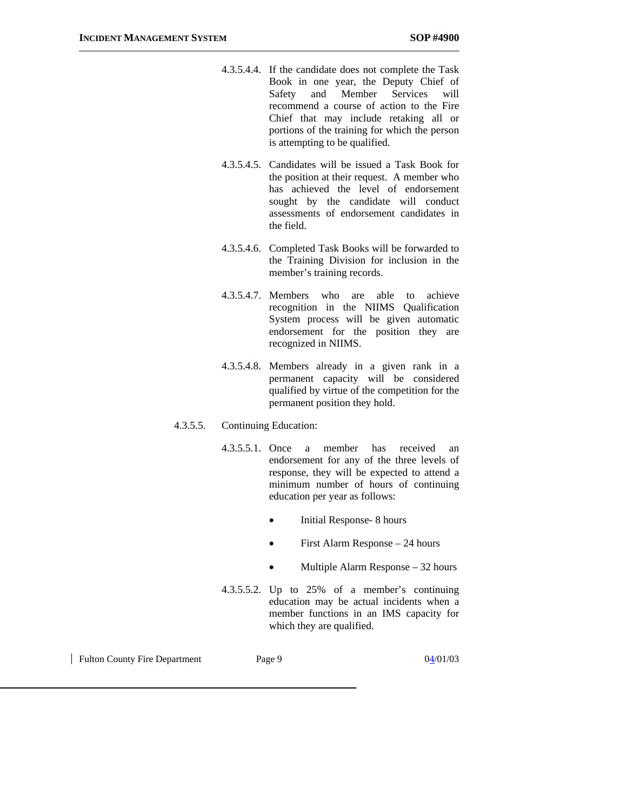- 4.3.5.4.4. If the candidate does not complete the Task Book in one year, the Deputy Chief of Safety and Member Services will recommend a course of action to the Fire Chief that may include retaking all or portions of the training for which the person is attempting to be qualified.
- 4.3.5.4.5. Candidates will be issued a Task Book for the position at their request. A member who has achieved the level of endorsement sought by the candidate will conduct assessments of endorsement candidates in the field.
- 4.3.5.4.6. Completed Task Books will be forwarded to the Training Division for inclusion in the member's training records.
- 4.3.5.4.7. Members who are able to achieve recognition in the NIIMS Qualification System process will be given automatic endorsement for the position they are recognized in NIIMS.
- 4.3.5.4.8. Members already in a given rank in a permanent capacity will be considered qualified by virtue of the competition for the permanent position they hold.

#### 4.3.5.5. Continuing Education:

- 4.3.5.5.1. Once a member has received an endorsement for any of the three levels of response, they will be expected to attend a minimum number of hours of continuing education per year as follows:
	- Initial Response- 8 hours
	- First Alarm Response 24 hours
	- Multiple Alarm Response 32 hours
- 4.3.5.5.2. Up to 25% of a member's continuing education may be actual incidents when a member functions in an IMS capacity for which they are qualified.

| Fulton County Fire Department | Page 9 | 04/01/03 |
|-------------------------------|--------|----------|
|                               |        |          |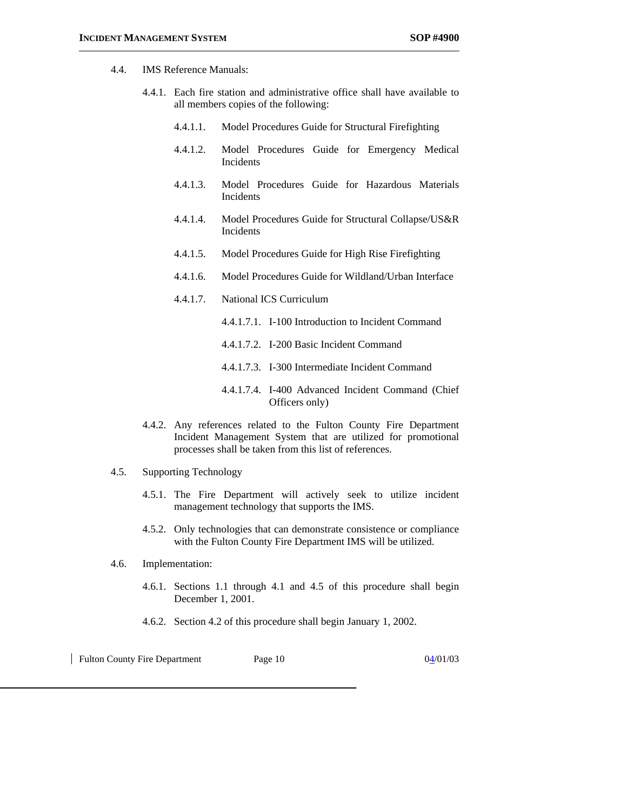#### 4.4. IMS Reference Manuals:

- 4.4.1. Each fire station and administrative office shall have available to all members copies of the following:
	- 4.4.1.1. Model Procedures Guide for Structural Firefighting
	- 4.4.1.2. Model Procedures Guide for Emergency Medical Incidents
	- 4.4.1.3. Model Procedures Guide for Hazardous Materials Incidents
	- 4.4.1.4. Model Procedures Guide for Structural Collapse/US&R Incidents
	- 4.4.1.5. Model Procedures Guide for High Rise Firefighting
	- 4.4.1.6. Model Procedures Guide for Wildland/Urban Interface
	- 4.4.1.7. National ICS Curriculum
		- 4.4.1.7.1. I-100 Introduction to Incident Command
		- 4.4.1.7.2. I-200 Basic Incident Command
		- 4.4.1.7.3. I-300 Intermediate Incident Command
		- 4.4.1.7.4. I-400 Advanced Incident Command (Chief Officers only)
- 4.4.2. Any references related to the Fulton County Fire Department Incident Management System that are utilized for promotional processes shall be taken from this list of references.

#### 4.5. Supporting Technology

- 4.5.1. The Fire Department will actively seek to utilize incident management technology that supports the IMS.
- 4.5.2. Only technologies that can demonstrate consistence or compliance with the Fulton County Fire Department IMS will be utilized.
- 4.6. Implementation:
	- 4.6.1. Sections 1.1 through 4.1 and 4.5 of this procedure shall begin December 1, 2001.
	- 4.6.2. Section 4.2 of this procedure shall begin January 1, 2002.

| <b>Fulton County Fire Department</b> | Page 10 | 04/01/03 |
|--------------------------------------|---------|----------|
|                                      |         |          |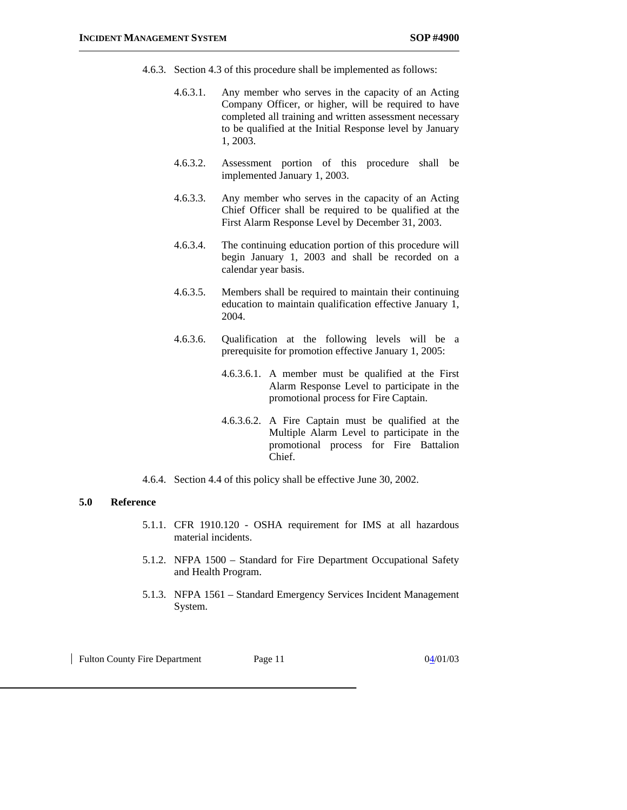- 4.6.3. Section 4.3 of this procedure shall be implemented as follows:
	- 4.6.3.1. Any member who serves in the capacity of an Acting Company Officer, or higher, will be required to have completed all training and written assessment necessary to be qualified at the Initial Response level by January 1, 2003.
	- 4.6.3.2. Assessment portion of this procedure shall be implemented January 1, 2003.
	- 4.6.3.3. Any member who serves in the capacity of an Acting Chief Officer shall be required to be qualified at the First Alarm Response Level by December 31, 2003.
	- 4.6.3.4. The continuing education portion of this procedure will begin January 1, 2003 and shall be recorded on a calendar year basis.
	- 4.6.3.5. Members shall be required to maintain their continuing education to maintain qualification effective January 1, 2004.
	- 4.6.3.6. Qualification at the following levels will be a prerequisite for promotion effective January 1, 2005:
		- 4.6.3.6.1. A member must be qualified at the First Alarm Response Level to participate in the promotional process for Fire Captain.
		- 4.6.3.6.2. A Fire Captain must be qualified at the Multiple Alarm Level to participate in the promotional process for Fire Battalion Chief.
- 4.6.4. Section 4.4 of this policy shall be effective June 30, 2002.

#### **5.0 Reference**

- 5.1.1. CFR 1910.120 OSHA requirement for IMS at all hazardous material incidents.
- 5.1.2. NFPA 1500 Standard for Fire Department Occupational Safety and Health Program.
- 5.1.3. NFPA 1561 Standard Emergency Services Incident Management System.

Fulton County Fire Department Page 11 04/01/03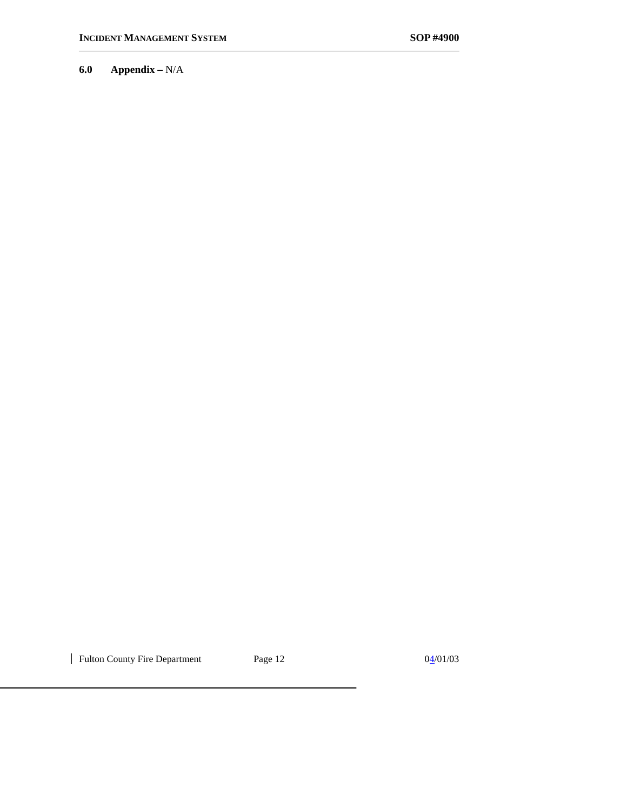**6.0 Appendix –** N/A

| Fulton County Fire Department Page 12 04/01/03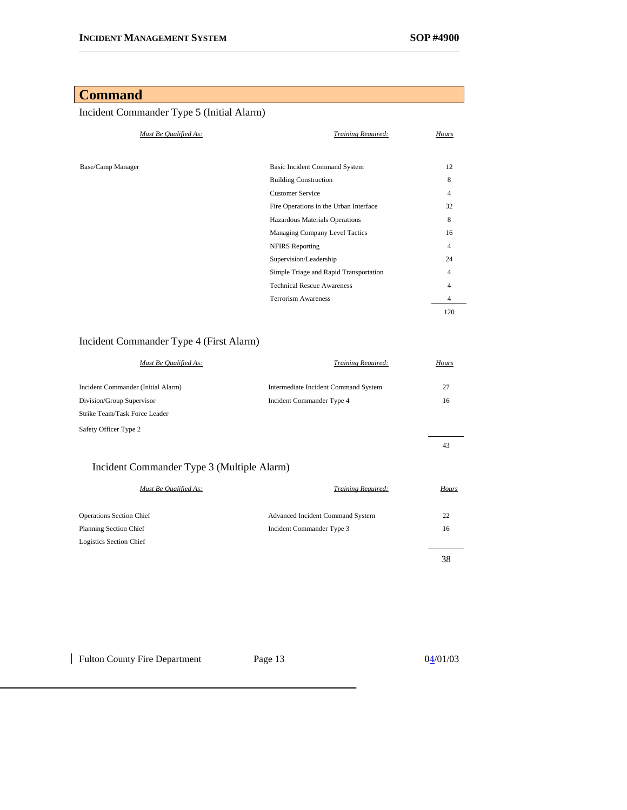## **Command**

## Incident Commander Type 5 (Initial Alarm)

| Must Be Qualified As: | Training Required:                     | Hours          |
|-----------------------|----------------------------------------|----------------|
|                       |                                        |                |
| Base/Camp Manager     | <b>Basic Incident Command System</b>   | 12             |
|                       | <b>Building Construction</b>           | 8              |
|                       | <b>Customer Service</b>                | $\overline{4}$ |
|                       | Fire Operations in the Urban Interface | 32             |
|                       | Hazardous Materials Operations         | 8              |
|                       | Managing Company Level Tactics         | 16             |
|                       | <b>NFIRS</b> Reporting                 | 4              |
|                       | Supervision/Leadership                 | 24             |
|                       | Simple Triage and Rapid Transportation | 4              |
|                       | <b>Technical Rescue Awareness</b>      | 4              |
|                       | <b>Terrorism Awareness</b>             | 4              |
|                       |                                        | 120            |

## Incident Commander Type 4 (First Alarm)

| Must Be Qualified As:              | Training Required:                   | Hours |
|------------------------------------|--------------------------------------|-------|
| Incident Commander (Initial Alarm) | Intermediate Incident Command System | 27    |
| Division/Group Supervisor          | Incident Commander Type 4            | 16    |
| Strike Team/Task Force Leader      |                                      |       |
| Safety Officer Type 2              |                                      |       |
|                                    |                                      | 43    |

## Incident Commander Type 3 (Multiple Alarm)

| Must Be Qualified As:           | Training Required:                      | Hours |
|---------------------------------|-----------------------------------------|-------|
| <b>Operations Section Chief</b> | <b>Advanced Incident Command System</b> | 22    |
| <b>Planning Section Chief</b>   | Incident Commander Type 3               | 16    |
| Logistics Section Chief         |                                         |       |
|                                 |                                         | 38    |

Fulton County Fire Department Page 13 04/01/03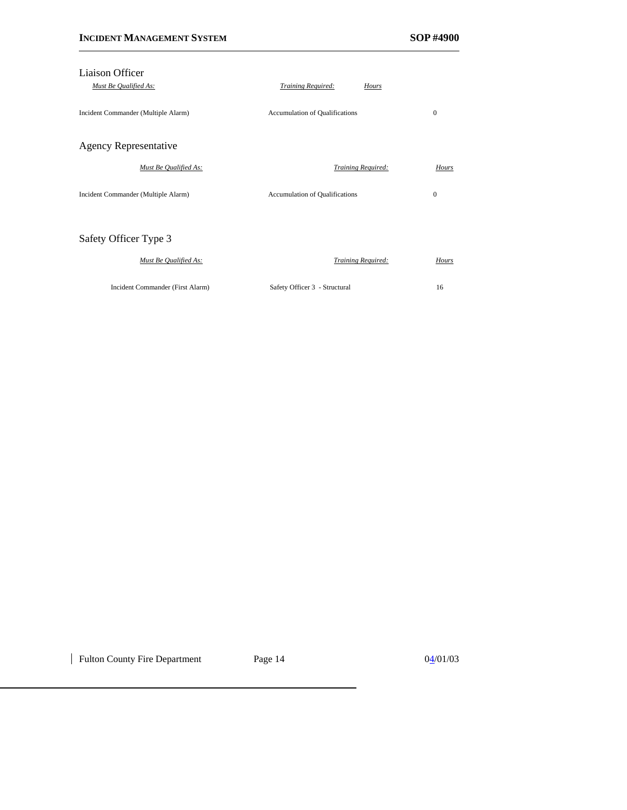| Liaison Officer                     |                                       |              |
|-------------------------------------|---------------------------------------|--------------|
| Must Be Qualified As:               | <b>Training Required:</b>             | <b>Hours</b> |
| Incident Commander (Multiple Alarm) | <b>Accumulation of Qualifications</b> | $\mathbf{0}$ |
| <b>Agency Representative</b>        |                                       |              |
| Must Be Qualified As:               | Training Required:                    | Hours        |
| Incident Commander (Multiple Alarm) | <b>Accumulation of Qualifications</b> | 0            |
| Safety Officer Type 3               |                                       |              |
| Must Be Qualified As:               | <b>Training Required:</b>             | Hours        |
| Incident Commander (First Alarm)    | Safety Officer 3 - Structural         | 16           |

| Fulton County Fire Department Page 14 04/01/03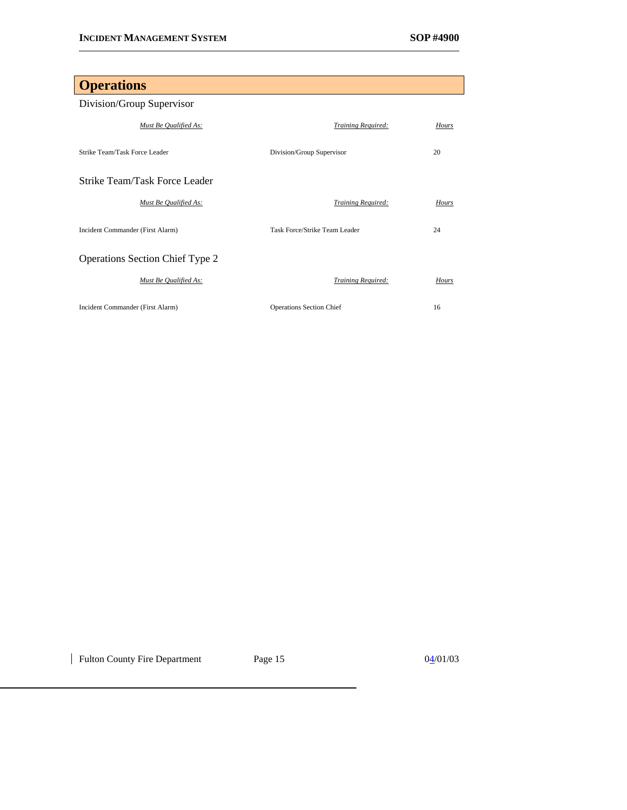# **Operations** Division/Group Supervisor *Must Be Qualified As: Training Required: Hours* Strike Team/Task Force Leader Division/Group Supervisor 20 Strike Team/Task Force Leader *Must Be Qualified As: Training Required: Hours* Incident Commander (First Alarm) Task Force/Strike Team Leader 24 Operations Section Chief Type 2 *Must Be Qualified As: Training Required: Hours* Incident Commander (First Alarm) Operations Section Chief 16

| Fulton County Fire Department Page 15 04/01/03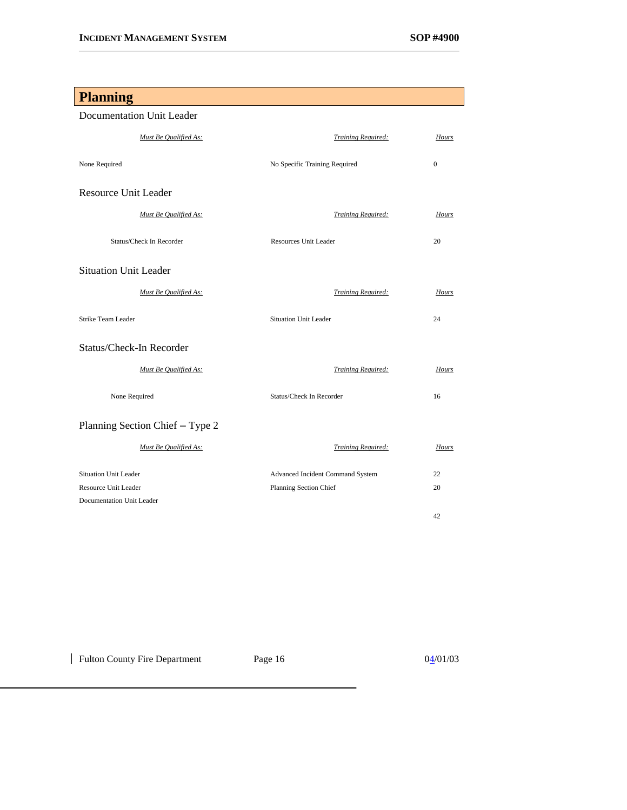## **Planning** Documentation Unit Leader *Must Be Qualified As: Training Required: Hours* None Required **No Specific Training Required** 0 Resource Unit Leader *Must Be Qualified As: Training Required: Hours* Status/Check In Recorder Resources Unit Leader 20 Situation Unit Leader *Must Be Qualified As: Training Required: Hours* Strike Team Leader Situation Unit Leader 24 Status/Check-In Recorder *Must Be Qualified As: Training Required: Hours* None Required Status/Check In Recorder 16 Planning Section Chief – Type 2 *Must Be Qualified As: Training Required: Hours* Situation Unit Leader Advanced Incident Command System 22 Resource Unit Leader Planning Section Chief 20 Documentation Unit Leader 42

| Fulton County Fire Department Page 16 04/01/03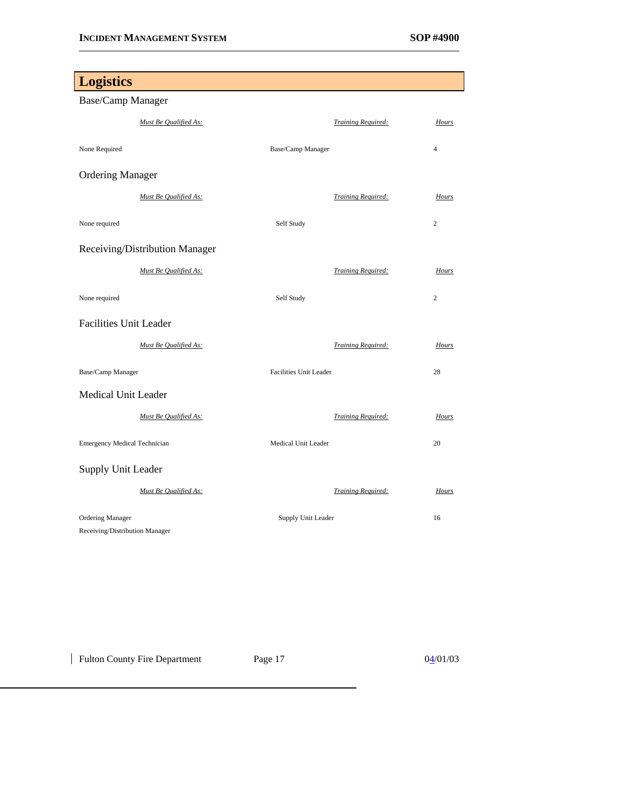$0\frac{4}{01}$ 

| <b>Logistics</b>                                          |                               |                |
|-----------------------------------------------------------|-------------------------------|----------------|
| Base/Camp Manager                                         |                               |                |
| Must Be Qualified As:                                     | <b>Training Required:</b>     | Hours          |
| None Required                                             | Base/Camp Manager             | $\overline{4}$ |
| <b>Ordering Manager</b>                                   |                               |                |
| Must Be Qualified As:                                     | <b>Training Required:</b>     | Hours          |
| None required                                             | Self Study                    | $\overline{c}$ |
| Receiving/Distribution Manager                            |                               |                |
| Must Be Qualified As:                                     | <b>Training Required:</b>     | Hours          |
| None required                                             | Self Study                    | $\overline{c}$ |
| <b>Facilities Unit Leader</b>                             |                               |                |
| Must Be Qualified As:                                     | Training Required:            | Hours          |
| Base/Camp Manager                                         | <b>Facilities Unit Leader</b> | 28             |
| <b>Medical Unit Leader</b>                                |                               |                |
| Must Be Qualified As:                                     | Training Required:            | Hours          |
| <b>Emergency Medical Technician</b>                       | Medical Unit Leader           | 20             |
| Supply Unit Leader                                        |                               |                |
| Must Be Qualified As:                                     | <b>Training Required:</b>     | Hours          |
| <b>Ordering Manager</b><br>Receiving/Distribution Manager | Supply Unit Leader            | 16             |

| Fulton County Fire Department | Page 17 |  |
|-------------------------------|---------|--|
|-------------------------------|---------|--|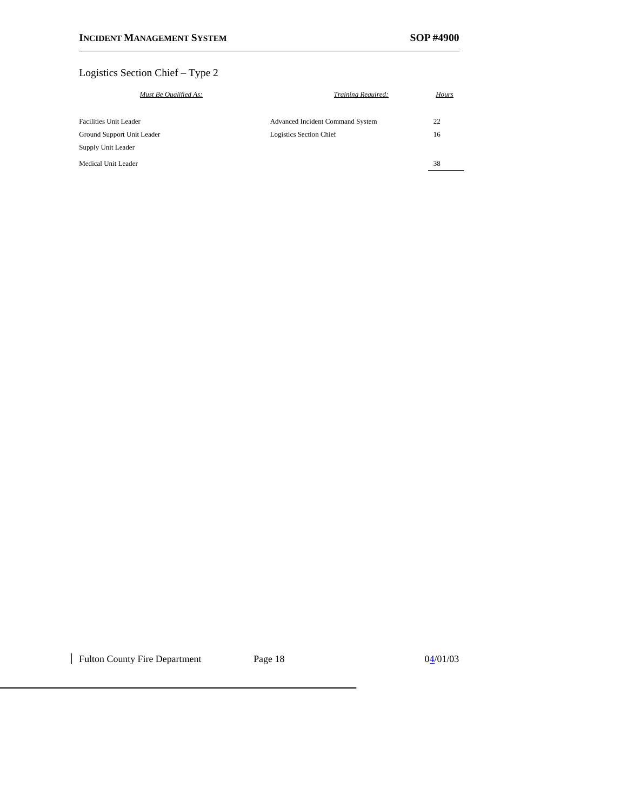## Logistics Section Chief – Type 2

| Must Be Qualified As:      | Training Required:                      | Hours |
|----------------------------|-----------------------------------------|-------|
| Facilities Unit Leader     | <b>Advanced Incident Command System</b> | 22    |
| Ground Support Unit Leader | Logistics Section Chief                 | 16    |
| Supply Unit Leader         |                                         |       |
| Medical Unit Leader        |                                         | 38    |
|                            |                                         |       |

| Fulton County Fire Department Page 18 04/01/03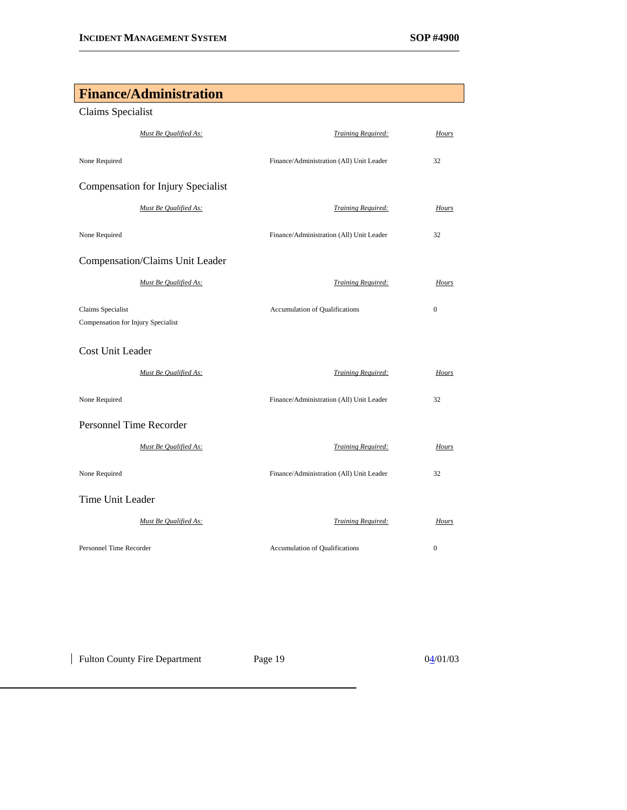## **Finance/Administration**

## Claims Specialist

| Must Be Qualified As:                                   | <b>Training Required:</b>                | Hours        |
|---------------------------------------------------------|------------------------------------------|--------------|
| None Required                                           | Finance/Administration (All) Unit Leader | 32           |
| Compensation for Injury Specialist                      |                                          |              |
| Must Be Qualified As:                                   | Training Required:                       | Hours        |
| None Required                                           | Finance/Administration (All) Unit Leader | 32           |
| Compensation/Claims Unit Leader                         |                                          |              |
| Must Be Qualified As:                                   | Training Required:                       | Hours        |
| Claims Specialist<br>Compensation for Injury Specialist | Accumulation of Qualifications           | $\mathbf{0}$ |
| <b>Cost Unit Leader</b>                                 |                                          |              |
| Must Be Qualified As:                                   | Training Required:                       | Hours        |
| None Required                                           | Finance/Administration (All) Unit Leader | 32           |
| <b>Personnel Time Recorder</b>                          |                                          |              |
| Must Be Qualified As:                                   | Training Required:                       | Hours        |
| None Required                                           | Finance/Administration (All) Unit Leader | 32           |
| Time Unit Leader                                        |                                          |              |
| Must Be Qualified As:                                   | Training Required:                       | Hours        |
| Personnel Time Recorder                                 | <b>Accumulation of Qualifications</b>    | $\mathbf{0}$ |

| Fulton County Fire Department Page 19 04/01/03